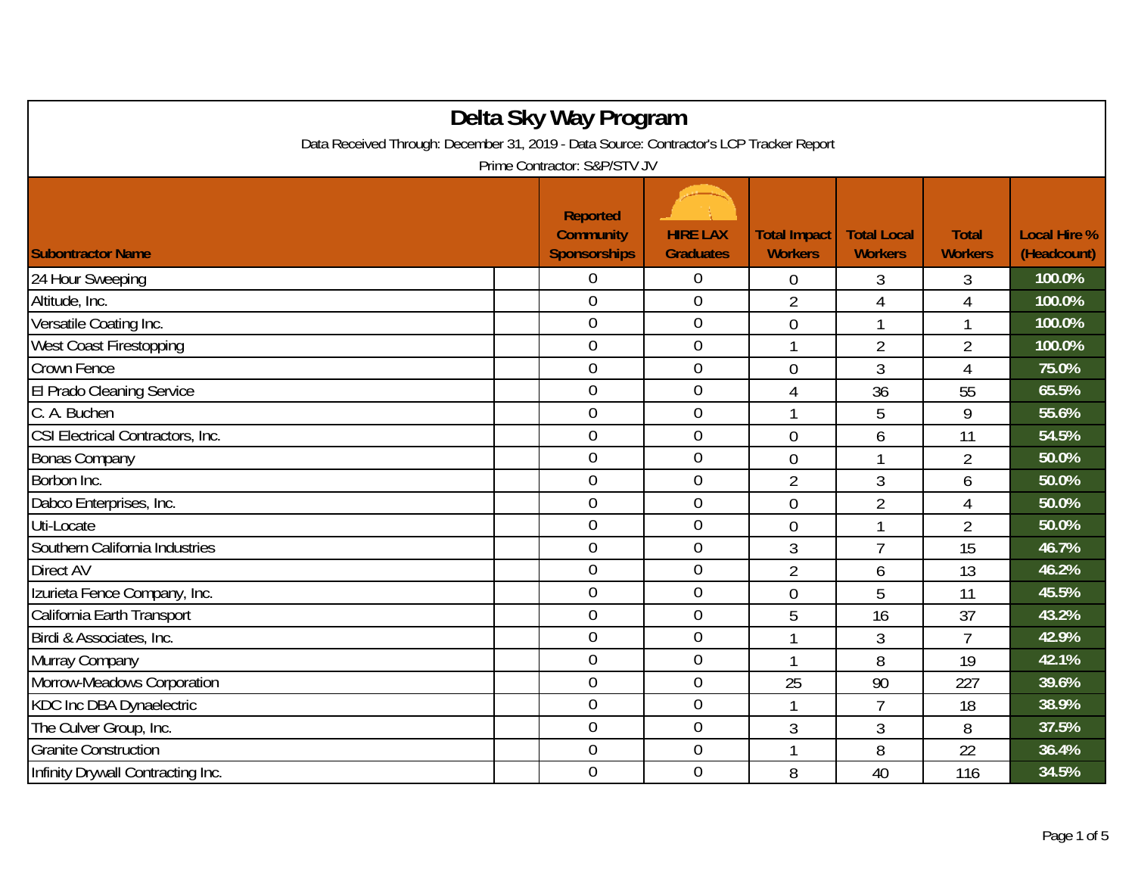| Delta Sky Way Program                                                                   |  |                                                            |                                     |                                       |                                      |                                |                                    |  |
|-----------------------------------------------------------------------------------------|--|------------------------------------------------------------|-------------------------------------|---------------------------------------|--------------------------------------|--------------------------------|------------------------------------|--|
| Data Received Through: December 31, 2019 - Data Source: Contractor's LCP Tracker Report |  |                                                            |                                     |                                       |                                      |                                |                                    |  |
| Prime Contractor: S&P/STV JV                                                            |  |                                                            |                                     |                                       |                                      |                                |                                    |  |
| <b>Subontractor Name</b>                                                                |  | <b>Reported</b><br><b>Community</b><br><b>Sponsorships</b> | <b>HIRE LAX</b><br><b>Graduates</b> | <b>Total Impact</b><br><b>Workers</b> | <b>Total Local</b><br><b>Workers</b> | <b>Total</b><br><b>Workers</b> | <b>Local Hire %</b><br>(Headcount) |  |
| 24 Hour Sweeping                                                                        |  | 0                                                          | 0                                   | 0                                     | 3                                    | 3                              | 100.0%                             |  |
| Altitude, Inc.                                                                          |  | $\overline{0}$                                             | $\boldsymbol{0}$                    | $\overline{2}$                        | $\overline{4}$                       | $\overline{4}$                 | 100.0%                             |  |
| Versatile Coating Inc.                                                                  |  | $\overline{0}$                                             | $\boldsymbol{0}$                    | $\mathbf 0$                           | 1                                    | 1                              | 100.0%                             |  |
| <b>West Coast Firestopping</b>                                                          |  | $\overline{0}$                                             | $\overline{0}$                      | -1                                    | $\overline{2}$                       | 2                              | 100.0%                             |  |
| Crown Fence                                                                             |  | $\overline{0}$                                             | $\mathbf 0$                         | $\overline{0}$                        | 3                                    | 4                              | 75.0%                              |  |
| El Prado Cleaning Service                                                               |  | $\overline{0}$                                             | $\overline{0}$                      | 4                                     | 36                                   | 55                             | 65.5%                              |  |
| C. A. Buchen                                                                            |  | $\overline{0}$                                             | $\mathbf 0$                         |                                       | 5                                    | 9                              | 55.6%                              |  |
| CSI Electrical Contractors, Inc.                                                        |  | $\overline{0}$                                             | $\overline{0}$                      | $\overline{0}$                        | 6                                    | 11                             | 54.5%                              |  |
| <b>Bonas Company</b>                                                                    |  | $\overline{0}$                                             | $\mathbf 0$                         | $\overline{0}$                        |                                      | $\overline{2}$                 | 50.0%                              |  |
| Borbon Inc.                                                                             |  | $\overline{0}$                                             | $\boldsymbol{0}$                    | $\overline{2}$                        | 3                                    | 6                              | 50.0%                              |  |
| Dabco Enterprises, Inc.                                                                 |  | $\overline{0}$                                             | $\mathbf 0$                         | $\overline{0}$                        | $\overline{2}$                       | $\overline{4}$                 | 50.0%                              |  |
| Uti-Locate                                                                              |  | $\overline{0}$                                             | $\mathbf 0$                         | $\overline{0}$                        | 1                                    | $\overline{2}$                 | 50.0%                              |  |
| Southern California Industries                                                          |  | $\overline{0}$                                             | $\boldsymbol{0}$                    | 3                                     | 7                                    | 15                             | 46.7%                              |  |
| <b>Direct AV</b>                                                                        |  | $\overline{0}$                                             | $\mathbf 0$                         | $\overline{2}$                        | 6                                    | 13                             | 46.2%                              |  |
| Izurieta Fence Company, Inc.                                                            |  | $\overline{0}$                                             | $\mathbf 0$                         | $\overline{0}$                        | 5                                    | 11                             | 45.5%                              |  |
| California Earth Transport                                                              |  | $\overline{0}$                                             | $\mathbf 0$                         | 5                                     | 16                                   | 37                             | 43.2%                              |  |
| Birdi & Associates, Inc.                                                                |  | $\overline{0}$                                             | $\overline{0}$                      |                                       | 3                                    | $\overline{7}$                 | 42.9%                              |  |
| Murray Company                                                                          |  | $\overline{0}$                                             | $\boldsymbol{0}$                    |                                       | 8                                    | 19                             | 42.1%                              |  |
| Morrow-Meadows Corporation                                                              |  | $\overline{0}$                                             | $\boldsymbol{0}$                    | 25                                    | 90                                   | 227                            | 39.6%                              |  |
| KDC Inc DBA Dynaelectric                                                                |  | $\boldsymbol{0}$                                           | $\boldsymbol{0}$                    |                                       | $\overline{7}$                       | 18                             | 38.9%                              |  |
| The Culver Group, Inc.                                                                  |  | $\overline{0}$                                             | $\mathbf 0$                         | 3                                     | 3                                    | 8                              | 37.5%                              |  |
| <b>Granite Construction</b>                                                             |  | $\mathbf 0$                                                | $\overline{0}$                      | -1                                    | 8                                    | 22                             | 36.4%                              |  |
| Infinity Drywall Contracting Inc.                                                       |  | $\overline{0}$                                             | $\mathbf 0$                         | 8                                     | 40                                   | 116                            | 34.5%                              |  |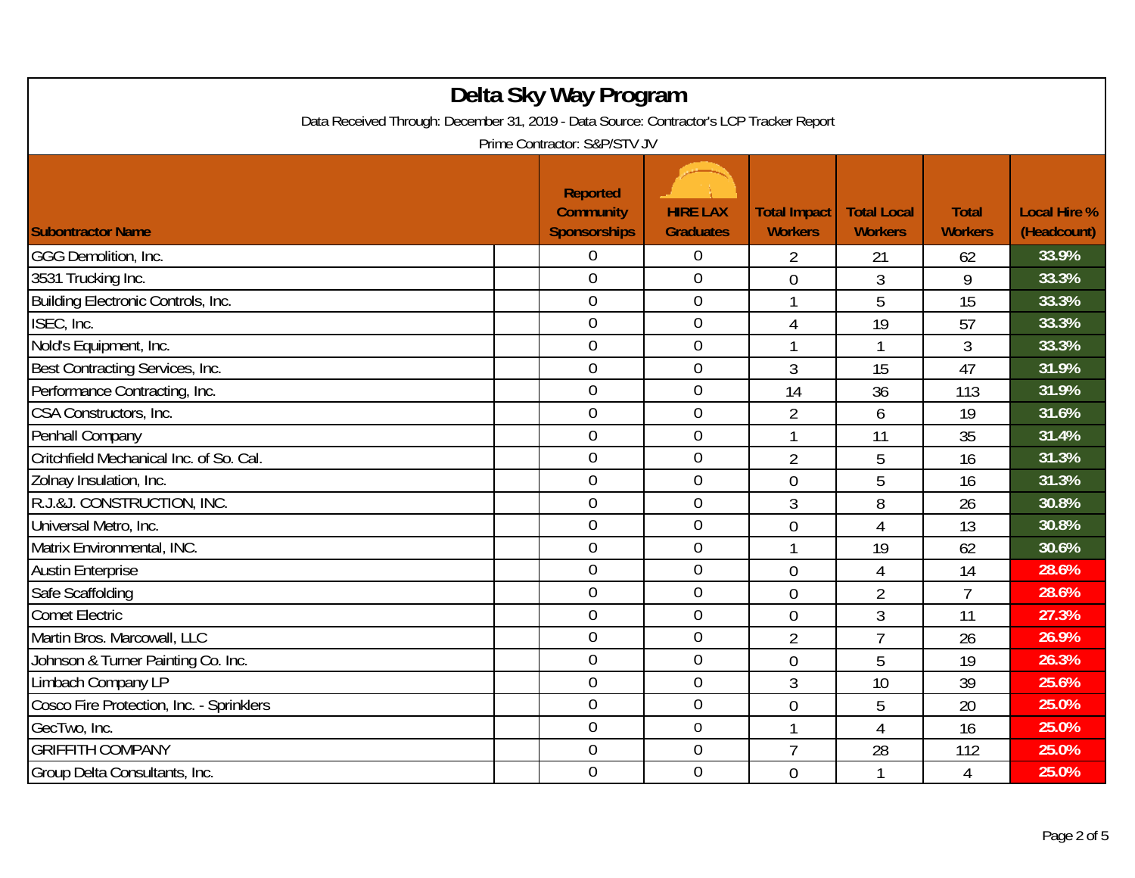| Delta Sky Way Program<br>Data Received Through: December 31, 2019 - Data Source: Contractor's LCP Tracker Report |  |                                                            |                                     |                                       |                                      |                                |                                    |  |
|------------------------------------------------------------------------------------------------------------------|--|------------------------------------------------------------|-------------------------------------|---------------------------------------|--------------------------------------|--------------------------------|------------------------------------|--|
| Prime Contractor: S&P/STV JV                                                                                     |  |                                                            |                                     |                                       |                                      |                                |                                    |  |
| <b>Subontractor Name</b>                                                                                         |  | <b>Reported</b><br><b>Community</b><br><b>Sponsorships</b> | <b>HIRE LAX</b><br><b>Graduates</b> | <b>Total Impact</b><br><b>Workers</b> | <b>Total Local</b><br><b>Workers</b> | <b>Total</b><br><b>Workers</b> | <b>Local Hire %</b><br>(Headcount) |  |
| GGG Demolition, Inc.                                                                                             |  | 0                                                          | $\overline{0}$                      | $\overline{2}$                        | 21                                   | 62                             | 33.9%                              |  |
| 3531 Trucking Inc.                                                                                               |  | $\overline{0}$                                             | $\mathbf 0$                         | 0                                     | 3                                    | 9                              | 33.3%                              |  |
| Building Electronic Controls, Inc.                                                                               |  | $\overline{0}$                                             | $\boldsymbol{0}$                    | 1                                     | 5                                    | 15                             | 33.3%                              |  |
| ISEC, Inc.                                                                                                       |  | $\overline{0}$                                             | $\boldsymbol{0}$                    | 4                                     | 19                                   | 57                             | 33.3%                              |  |
| Nold's Equipment, Inc.                                                                                           |  | $\overline{0}$                                             | $\overline{0}$                      | 1                                     | 1                                    | 3                              | 33.3%                              |  |
| Best Contracting Services, Inc.                                                                                  |  | $\overline{0}$                                             | $\mathbf 0$                         | 3                                     | 15                                   | 47                             | 31.9%                              |  |
| Performance Contracting, Inc.                                                                                    |  | $\mathbf 0$                                                | $\mathbf 0$                         | 14                                    | 36                                   | 113                            | 31.9%                              |  |
| CSA Constructors, Inc.                                                                                           |  | $\overline{0}$                                             | $\mathbf 0$                         | $\overline{2}$                        | 6                                    | 19                             | 31.6%                              |  |
| Penhall Company                                                                                                  |  | $\overline{0}$                                             | $\boldsymbol{0}$                    | 1                                     | 11                                   | 35                             | 31.4%                              |  |
| Critchfield Mechanical Inc. of So. Cal.                                                                          |  | $\mathbf 0$                                                | $\mathbf 0$                         | $\overline{2}$                        | 5                                    | 16                             | 31.3%                              |  |
| Zolnay Insulation, Inc.                                                                                          |  | $\overline{0}$                                             | $\overline{0}$                      | $\overline{0}$                        | 5                                    | 16                             | 31.3%                              |  |
| R.J.&J. CONSTRUCTION, INC.                                                                                       |  | $\overline{0}$                                             | $\mathbf{0}$                        | 3                                     | 8                                    | 26                             | 30.8%                              |  |
| Universal Metro, Inc.                                                                                            |  | $\overline{0}$                                             | $\mathbf 0$                         | $\overline{0}$                        | $\overline{4}$                       | 13                             | 30.8%                              |  |
| Matrix Environmental, INC.                                                                                       |  | $\overline{0}$                                             | $\mathbf 0$                         | 1                                     | 19                                   | 62                             | 30.6%                              |  |
| <b>Austin Enterprise</b>                                                                                         |  | 0                                                          | $\mathbf 0$                         | $\overline{0}$                        | 4                                    | 14                             | 28.6%                              |  |
| Safe Scaffolding                                                                                                 |  | $\overline{0}$                                             | $\mathbf 0$                         | $\overline{0}$                        | $\overline{2}$                       | $\overline{7}$                 | 28.6%                              |  |
| <b>Comet Electric</b>                                                                                            |  | $\overline{0}$                                             | $\boldsymbol{0}$                    | 0                                     | 3                                    | 11                             | 27.3%                              |  |
| Martin Bros. Marcowall, LLC                                                                                      |  | $\overline{0}$                                             | $\mathbf 0$                         | $\overline{2}$                        | $\overline{7}$                       | 26                             | 26.9%                              |  |
| Johnson & Turner Painting Co. Inc.                                                                               |  | $\overline{0}$                                             | $\boldsymbol{0}$                    | $\overline{0}$                        | 5                                    | 19                             | 26.3%                              |  |
| Limbach Company LP                                                                                               |  | $\overline{0}$                                             | $\boldsymbol{0}$                    | 3                                     | 10                                   | 39                             | 25.6%                              |  |
| Cosco Fire Protection, Inc. - Sprinklers                                                                         |  | $\overline{0}$                                             | $\mathbf 0$                         | $\overline{0}$                        | 5                                    | 20                             | 25.0%                              |  |
| GecTwo, Inc.                                                                                                     |  | $\overline{0}$                                             | $\overline{0}$                      | 1                                     | 4                                    | 16                             | 25.0%                              |  |
| <b>GRIFFITH COMPANY</b>                                                                                          |  | $\overline{0}$                                             | $\mathbf 0$                         | $\overline{7}$                        | 28                                   | 112                            | 25.0%                              |  |
| Group Delta Consultants, Inc.                                                                                    |  | $\overline{0}$                                             | $\mathbf 0$                         | $\overline{0}$                        | 1                                    | 4                              | 25.0%                              |  |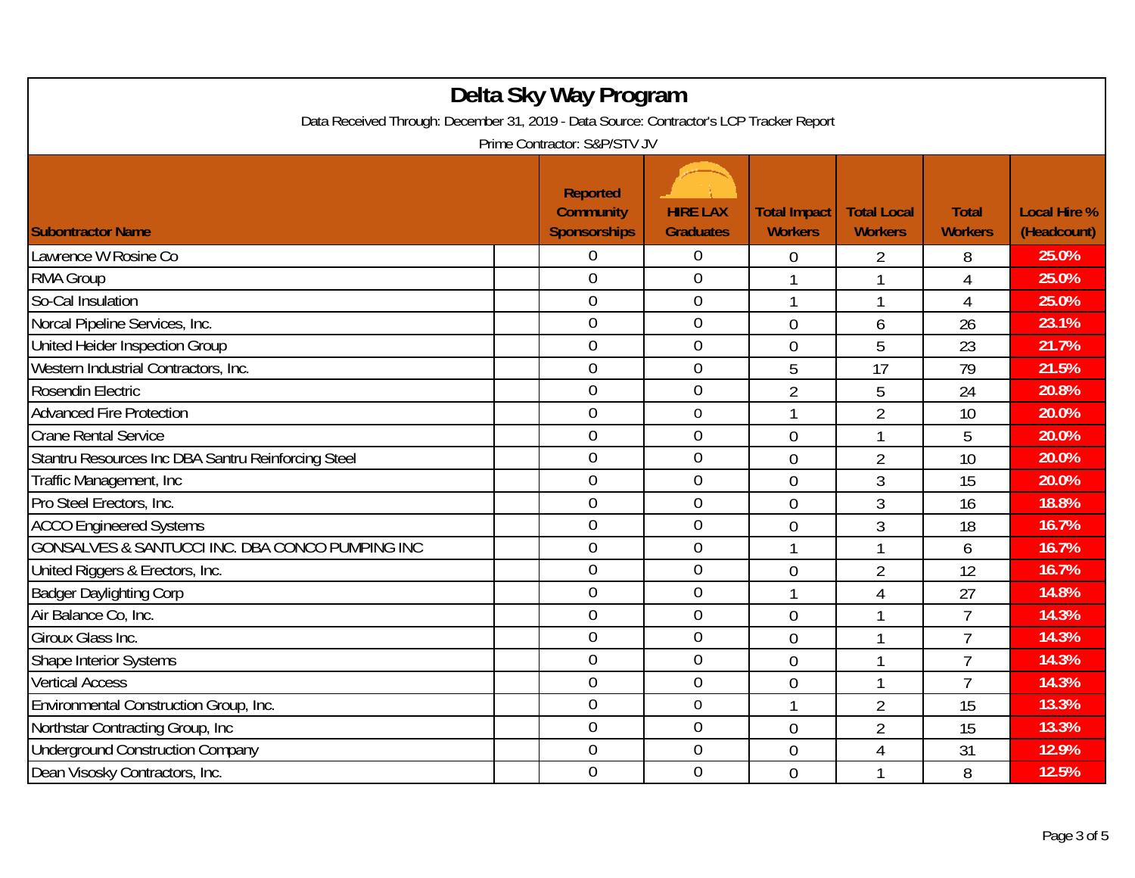| Delta Sky Way Program<br>Data Received Through: December 31, 2019 - Data Source: Contractor's LCP Tracker Report<br>Prime Contractor: S&P/STV JV |                                                            |  |                                     |                                       |                                      |                                |                                    |  |
|--------------------------------------------------------------------------------------------------------------------------------------------------|------------------------------------------------------------|--|-------------------------------------|---------------------------------------|--------------------------------------|--------------------------------|------------------------------------|--|
| <b>Subontractor Name</b>                                                                                                                         | <b>Reported</b><br><b>Community</b><br><b>Sponsorships</b> |  | <b>HIRE LAX</b><br><b>Graduates</b> | <b>Total Impact</b><br><b>Workers</b> | <b>Total Local</b><br><b>Workers</b> | <b>Total</b><br><b>Workers</b> | <b>Local Hire %</b><br>(Headcount) |  |
| Lawrence W Rosine Co                                                                                                                             | 0                                                          |  | $\boldsymbol{0}$                    | $\mathbf 0$                           | 2                                    | 8                              | 25.0%                              |  |
| <b>RMA Group</b>                                                                                                                                 | $\overline{0}$                                             |  | $\overline{0}$                      | 1                                     | 1                                    | $\overline{4}$                 | 25.0%                              |  |
| So-Cal Insulation                                                                                                                                | $\overline{0}$                                             |  | $\mathbf 0$                         | 1                                     | 1                                    | $\overline{4}$                 | 25.0%                              |  |
| Norcal Pipeline Services, Inc.                                                                                                                   | $\overline{0}$                                             |  | $\mathbf 0$                         | $\overline{0}$                        | 6                                    | 26                             | 23.1%                              |  |
| United Heider Inspection Group                                                                                                                   | $\overline{0}$                                             |  | $\overline{0}$                      | 0                                     | 5                                    | 23                             | 21.7%                              |  |
| Western Industrial Contractors, Inc.                                                                                                             | $\overline{0}$                                             |  | $\mathbf{0}$                        | 5                                     | 17                                   | 79                             | 21.5%                              |  |
| Rosendin Electric                                                                                                                                | $\overline{0}$                                             |  | $\overline{0}$                      | $\overline{2}$                        | 5                                    | 24                             | 20.8%                              |  |
| <b>Advanced Fire Protection</b>                                                                                                                  | $\overline{0}$                                             |  | $\mathbf 0$                         | 1                                     | $\overline{2}$                       | 10                             | 20.0%                              |  |
| <b>Crane Rental Service</b>                                                                                                                      | $\overline{0}$                                             |  | $\boldsymbol{0}$                    | 0                                     | 1                                    | 5                              | 20.0%                              |  |
| Stantru Resources Inc DBA Santru Reinforcing Steel                                                                                               | $\mathbf 0$                                                |  | $\mathbf 0$                         | $\overline{0}$                        | 2                                    | 10                             | 20.0%                              |  |
| Traffic Management, Inc.                                                                                                                         | $\overline{0}$                                             |  | $\overline{0}$                      | $\overline{0}$                        | 3                                    | 15                             | 20.0%                              |  |
| Pro Steel Erectors, Inc.                                                                                                                         | $\overline{0}$                                             |  | $\overline{0}$                      | 0                                     | 3                                    | 16                             | 18.8%                              |  |
| <b>ACCO</b> Engineered Systems                                                                                                                   | $\overline{0}$                                             |  | $\theta$                            | $\overline{0}$                        | 3                                    | 18                             | 16.7%                              |  |
| GONSALVES & SANTUCCI INC. DBA CONCO PUMPING INC                                                                                                  | $\overline{0}$                                             |  | $\mathbf 0$                         | 1                                     | 1                                    | 6                              | 16.7%                              |  |
| United Riggers & Erectors, Inc.                                                                                                                  | $\overline{0}$                                             |  | $\mathbf 0$                         | 0                                     | $\overline{2}$                       | 12                             | 16.7%                              |  |
| <b>Badger Daylighting Corp</b>                                                                                                                   | $\overline{0}$                                             |  | $\mathbf{0}$                        | 1                                     | $\overline{4}$                       | 27                             | 14.8%                              |  |
| Air Balance Co. Inc.                                                                                                                             | $\overline{0}$                                             |  | $\overline{0}$                      | $\overline{0}$                        | 1                                    | $\overline{7}$                 | 14.3%                              |  |
| Giroux Glass Inc.                                                                                                                                | 0                                                          |  | $\boldsymbol{0}$                    | $\overline{0}$                        | 1                                    | $\overline{7}$                 | 14.3%                              |  |
| Shape Interior Systems                                                                                                                           | $\overline{0}$                                             |  | $\mathbf 0$                         | $\overline{0}$                        | 1                                    | $\overline{7}$                 | 14.3%                              |  |
| <b>Vertical Access</b>                                                                                                                           | $\overline{0}$                                             |  | $\mathbf 0$                         | $\overline{0}$                        |                                      | 7                              | 14.3%                              |  |
| Environmental Construction Group, Inc.                                                                                                           | $\overline{0}$                                             |  | $\mathbf 0$                         | 1                                     | $\overline{2}$                       | 15                             | 13.3%                              |  |
| Northstar Contracting Group, Inc.                                                                                                                | $\overline{0}$                                             |  | $\overline{0}$                      | 0                                     | $\overline{2}$                       | 15                             | 13.3%                              |  |
| <b>Underground Construction Company</b>                                                                                                          | $\boldsymbol{0}$                                           |  | $\mathbf 0$                         | 0                                     | 4                                    | 31                             | 12.9%                              |  |
| Dean Visosky Contractors, Inc.                                                                                                                   | $\overline{0}$                                             |  | $\mathbf 0$                         | $\overline{0}$                        |                                      | 8                              | 12.5%                              |  |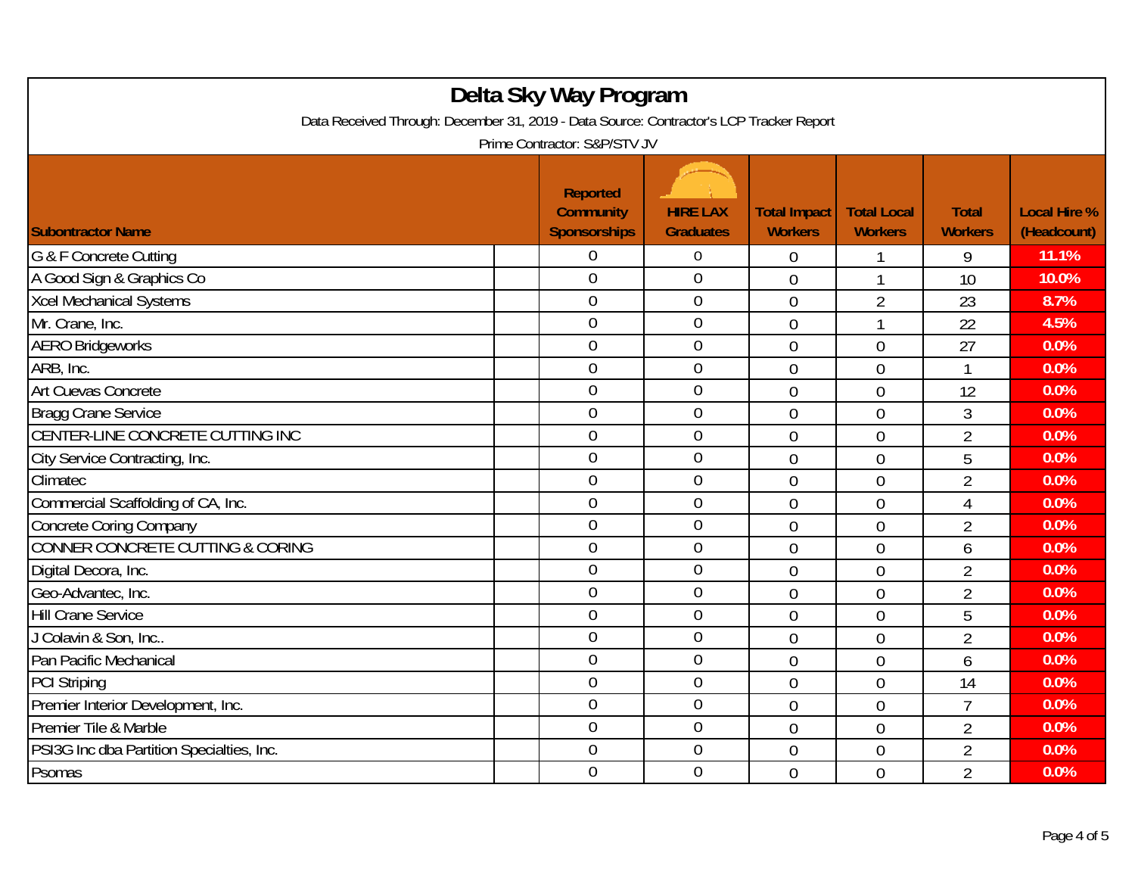| Delta Sky Way Program<br>Data Received Through: December 31, 2019 - Data Source: Contractor's LCP Tracker Report<br>Prime Contractor: S&P/STV JV |                                                     |                                     |                                       |                                      |                                |                                    |  |  |
|--------------------------------------------------------------------------------------------------------------------------------------------------|-----------------------------------------------------|-------------------------------------|---------------------------------------|--------------------------------------|--------------------------------|------------------------------------|--|--|
| <b>Subontractor Name</b>                                                                                                                         | Reported<br><b>Community</b><br><b>Sponsorships</b> | <b>HIRE LAX</b><br><b>Graduates</b> | <b>Total Impact</b><br><b>Workers</b> | <b>Total Local</b><br><b>Workers</b> | <b>Total</b><br><b>Workers</b> | <b>Local Hire %</b><br>(Headcount) |  |  |
| G & F Concrete Cutting                                                                                                                           | 0                                                   | $\overline{0}$                      | $\overline{0}$                        |                                      | 9                              | 11.1%                              |  |  |
| A Good Sign & Graphics Co                                                                                                                        | $\overline{0}$                                      | $\mathbf 0$                         | $\overline{0}$                        | $\mathbf{1}$                         | 10                             | 10.0%                              |  |  |
| <b>Xcel Mechanical Systems</b>                                                                                                                   | $\boldsymbol{0}$                                    | $\boldsymbol{0}$                    | $\mathbf 0$                           | $\overline{2}$                       | 23                             | 8.7%                               |  |  |
| Mr. Crane, Inc.                                                                                                                                  | $\mathbf 0$                                         | $\boldsymbol{0}$                    | $\overline{0}$                        | 1                                    | 22                             | 4.5%                               |  |  |
| <b>AERO Bridgeworks</b>                                                                                                                          | $\overline{0}$                                      | $\overline{0}$                      | $\overline{0}$                        | $\overline{0}$                       | 27                             | 0.0%                               |  |  |
| ARB, Inc.                                                                                                                                        | $\mathbf 0$                                         | $\boldsymbol{0}$                    | $\overline{0}$                        | $\overline{0}$                       | 1                              | 0.0%                               |  |  |
| Art Cuevas Concrete                                                                                                                              | $\mathbf 0$                                         | $\mathbf 0$                         | $\overline{0}$                        | $\overline{0}$                       | 12                             | 0.0%                               |  |  |
| Bragg Crane Service                                                                                                                              | $\overline{0}$                                      | $\boldsymbol{0}$                    | $\overline{0}$                        | $\overline{0}$                       | 3                              | 0.0%                               |  |  |
| CENTER-LINE CONCRETE CUTTING INC                                                                                                                 | $\mathbf 0$                                         | $\boldsymbol{0}$                    | $\overline{0}$                        | $\overline{0}$                       | $\overline{2}$                 | 0.0%                               |  |  |
| City Service Contracting, Inc.                                                                                                                   | $\overline{0}$                                      | $\boldsymbol{0}$                    | $\mathbf 0$                           | $\overline{0}$                       | 5                              | 0.0%                               |  |  |
| Climatec                                                                                                                                         | $\overline{0}$                                      | $\mathbf 0$                         | $\overline{0}$                        | $\overline{0}$                       | $\overline{2}$                 | 0.0%                               |  |  |
| Commercial Scaffolding of CA, Inc.                                                                                                               | $\overline{0}$                                      | $\mathbf 0$                         | $\overline{0}$                        | $\overline{0}$                       | $\overline{4}$                 | 0.0%                               |  |  |
| <b>Concrete Coring Company</b>                                                                                                                   | $\overline{0}$                                      | $\overline{0}$                      | $\overline{0}$                        | $\overline{0}$                       | $\overline{2}$                 | 0.0%                               |  |  |
| CONNER CONCRETE CUTTING & CORING                                                                                                                 | $\overline{0}$                                      | $\boldsymbol{0}$                    | $\overline{0}$                        | $\overline{0}$                       | 6                              | 0.0%                               |  |  |
| Digital Decora, Inc.                                                                                                                             | $\overline{0}$                                      | $\boldsymbol{0}$                    | $\overline{0}$                        | $\overline{0}$                       | $\overline{2}$                 | 0.0%                               |  |  |
| Geo-Advantec, Inc.                                                                                                                               | $\mathbf 0$                                         | $\mathbf 0$                         | $\mathbf 0$                           | $\overline{0}$                       | $\overline{2}$                 | 0.0%                               |  |  |
| <b>Hill Crane Service</b>                                                                                                                        | $\overline{0}$                                      | $\mathbf 0$                         | $\overline{0}$                        | $\overline{0}$                       | 5                              | 0.0%                               |  |  |
| J Colavin & Son, Inc                                                                                                                             | $\overline{0}$                                      | $\mathbf 0$                         | $\mathbf 0$                           | $\overline{0}$                       | $\overline{2}$                 | 0.0%                               |  |  |
| Pan Pacific Mechanical                                                                                                                           | $\overline{0}$                                      | $\overline{0}$                      | $\overline{0}$                        | $\overline{0}$                       | 6                              | 0.0%                               |  |  |
| <b>PCI Striping</b>                                                                                                                              | $\overline{0}$                                      | $\mathbf 0$                         | $\overline{0}$                        | $\overline{0}$                       | 14                             | 0.0%                               |  |  |
| Premier Interior Development, Inc.                                                                                                               | $\boldsymbol{0}$                                    | $\boldsymbol{0}$                    | $\mathbf 0$                           | $\overline{0}$                       | 7                              | 0.0%                               |  |  |
| Premier Tile & Marble                                                                                                                            | $\boldsymbol{0}$                                    | $\mathbf 0$                         | $\overline{0}$                        | $\overline{0}$                       | $\overline{2}$                 | 0.0%                               |  |  |
| PSI3G Inc dba Partition Specialties, Inc.                                                                                                        | $\overline{0}$                                      | $\mathbf 0$                         | $\overline{0}$                        | $\overline{0}$                       | $\overline{2}$                 | 0.0%                               |  |  |
| Psomas                                                                                                                                           | $\overline{0}$                                      | $\mathbf 0$                         | $\overline{0}$                        | $\overline{0}$                       | $\overline{2}$                 | 0.0%                               |  |  |